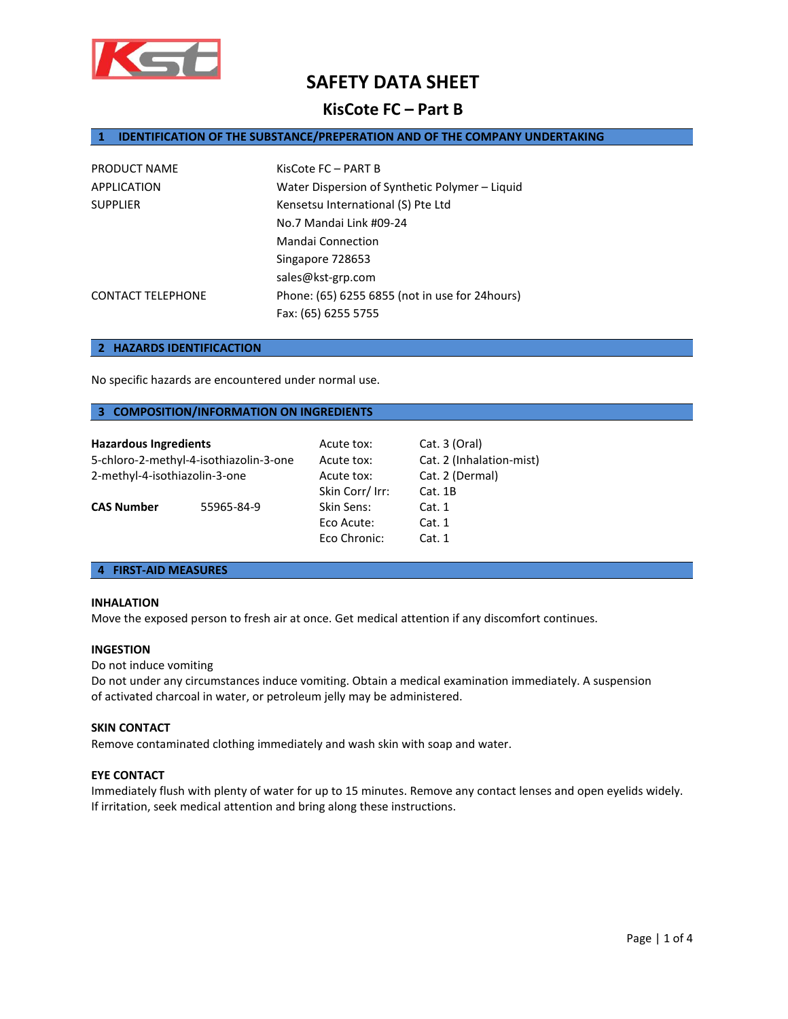

# **KisCote FC – Part B**

# **1 IDENTIFICATION OF THE SUBSTANCE/PREPERATION AND OF THE COMPANY UNDERTAKING**

| PRODUCT NAME             | KisCote FC - PART B                             |
|--------------------------|-------------------------------------------------|
| APPLICATION              | Water Dispersion of Synthetic Polymer - Liquid  |
| <b>SUPPLIER</b>          | Kensetsu International (S) Pte Ltd              |
|                          | No.7 Mandai Link #09-24                         |
|                          | Mandai Connection                               |
|                          | Singapore 728653                                |
|                          | sales@kst-grp.com                               |
| <b>CONTACT TELEPHONE</b> | Phone: (65) 6255 6855 (not in use for 24 hours) |
|                          | Fax: (65) 6255 5755                             |

### **2 HAZARDS IDENTIFICACTION**

No specific hazards are encountered under normal use.

# **3 COMPOSITION/INFORMATION ON INGREDIENTS**

| <b>Hazardous Ingredients</b>           |            | Acute tox:      | Cat. 3 (Oral)            |
|----------------------------------------|------------|-----------------|--------------------------|
| 5-chloro-2-methyl-4-isothiazolin-3-one |            | Acute tox:      | Cat. 2 (Inhalation-mist) |
| 2-methyl-4-isothiazolin-3-one          |            | Acute tox:      | Cat. 2 (Dermal)          |
|                                        |            | Skin Corr/ Irr: | Cat.1B                   |
| <b>CAS Number</b>                      | 55965-84-9 | Skin Sens:      | Cat.1                    |
|                                        |            | Eco Acute:      | Cat. 1                   |
|                                        |            | Eco Chronic:    | Cat.1                    |

# **4 FIRST-AID MEASURES**

# **INHALATION**

Move the exposed person to fresh air at once. Get medical attention if any discomfort continues.

### **INGESTION**

### Do not induce vomiting

Do not under any circumstances induce vomiting. Obtain a medical examination immediately. A suspension of activated charcoal in water, or petroleum jelly may be administered.

# **SKIN CONTACT**

Remove contaminated clothing immediately and wash skin with soap and water.

# **EYE CONTACT**

Immediately flush with plenty of water for up to 15 minutes. Remove any contact lenses and open eyelids widely. If irritation, seek medical attention and bring along these instructions.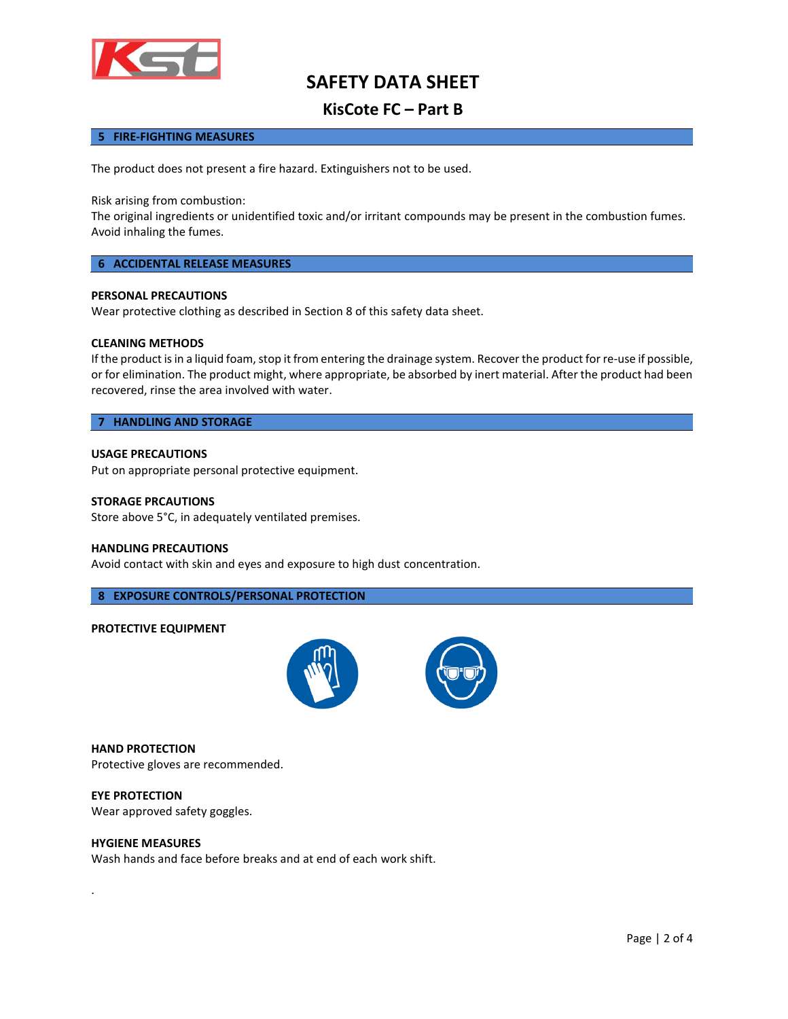

# **KisCote FC – Part B**

# **5 FIRE-FIGHTING MEASURES**

The product does not present a fire hazard. Extinguishers not to be used.

Risk arising from combustion:

The original ingredients or unidentified toxic and/or irritant compounds may be present in the combustion fumes. Avoid inhaling the fumes.

# **6 ACCIDENTAL RELEASE MEASURES**

# **PERSONAL PRECAUTIONS**

Wear protective clothing as described in Section 8 of this safety data sheet.

### **CLEANING METHODS**

If the product is in a liquid foam, stop it from entering the drainage system. Recover the product for re-use if possible, or for elimination. The product might, where appropriate, be absorbed by inert material. After the product had been recovered, rinse the area involved with water.

# **7 HANDLING AND STORAGE**

#### **USAGE PRECAUTIONS**

Put on appropriate personal protective equipment.

#### **STORAGE PRCAUTIONS**

Store above 5°C, in adequately ventilated premises.

#### **HANDLING PRECAUTIONS**

Avoid contact with skin and eyes and exposure to high dust concentration.

# **8 EXPOSURE CONTROLS/PERSONAL PROTECTION**

#### **PROTECTIVE EQUIPMENT**



**HAND PROTECTION** Protective gloves are recommended.

**EYE PROTECTION** Wear approved safety goggles.

### **HYGIENE MEASURES**

.

Wash hands and face before breaks and at end of each work shift.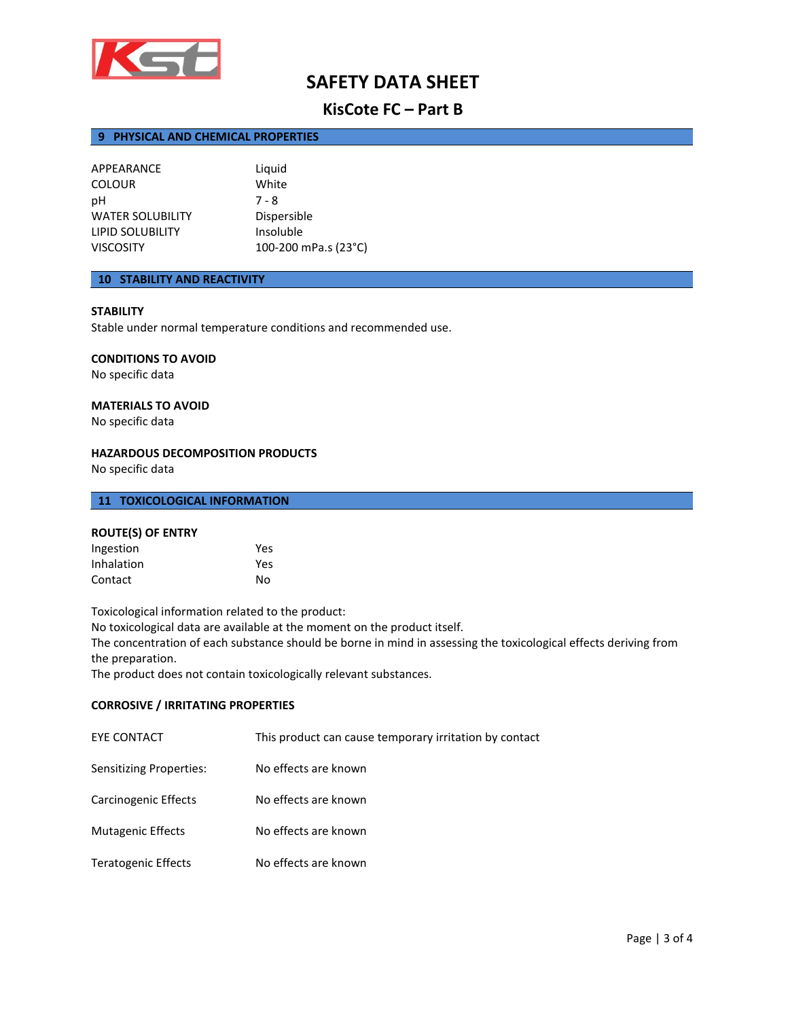

# **KisCote FC – Part B**

# **9 PHYSICAL AND CHEMICAL PROPERTIES**

| APPEARANCE              | Liquid               |
|-------------------------|----------------------|
|                         |                      |
| <b>COLOUR</b>           | White                |
| рH                      | $7 - 8$              |
| <b>WATER SOLUBILITY</b> | Dispersible          |
| LIPID SOLUBILITY        | Insoluble            |
| <b>VISCOSITY</b>        | 100-200 mPa.s (23°C) |

# **10 STABILITY AND REACTIVITY**

# **STABILITY**

Stable under normal temperature conditions and recommended use.

# **CONDITIONS TO AVOID**

No specific data

# **MATERIALS TO AVOID**

No specific data

# **HAZARDOUS DECOMPOSITION PRODUCTS**

No specific data

# **11 TOXICOLOGICAL INFORMATION**

### **ROUTE(S) OF ENTRY**

| Ingestion  | Yes |
|------------|-----|
| Inhalation | Yes |
| Contact    | No  |

Toxicological information related to the product:

No toxicological data are available at the moment on the product itself.

The concentration of each substance should be borne in mind in assessing the toxicological effects deriving from the preparation.

The product does not contain toxicologically relevant substances.

# **CORROSIVE / IRRITATING PROPERTIES**

| EYE CONTACT                    | This product can cause temporary irritation by contact |
|--------------------------------|--------------------------------------------------------|
| <b>Sensitizing Properties:</b> | No effects are known                                   |
| Carcinogenic Effects           | No effects are known                                   |
| <b>Mutagenic Effects</b>       | No effects are known                                   |
| <b>Teratogenic Effects</b>     | No effects are known                                   |